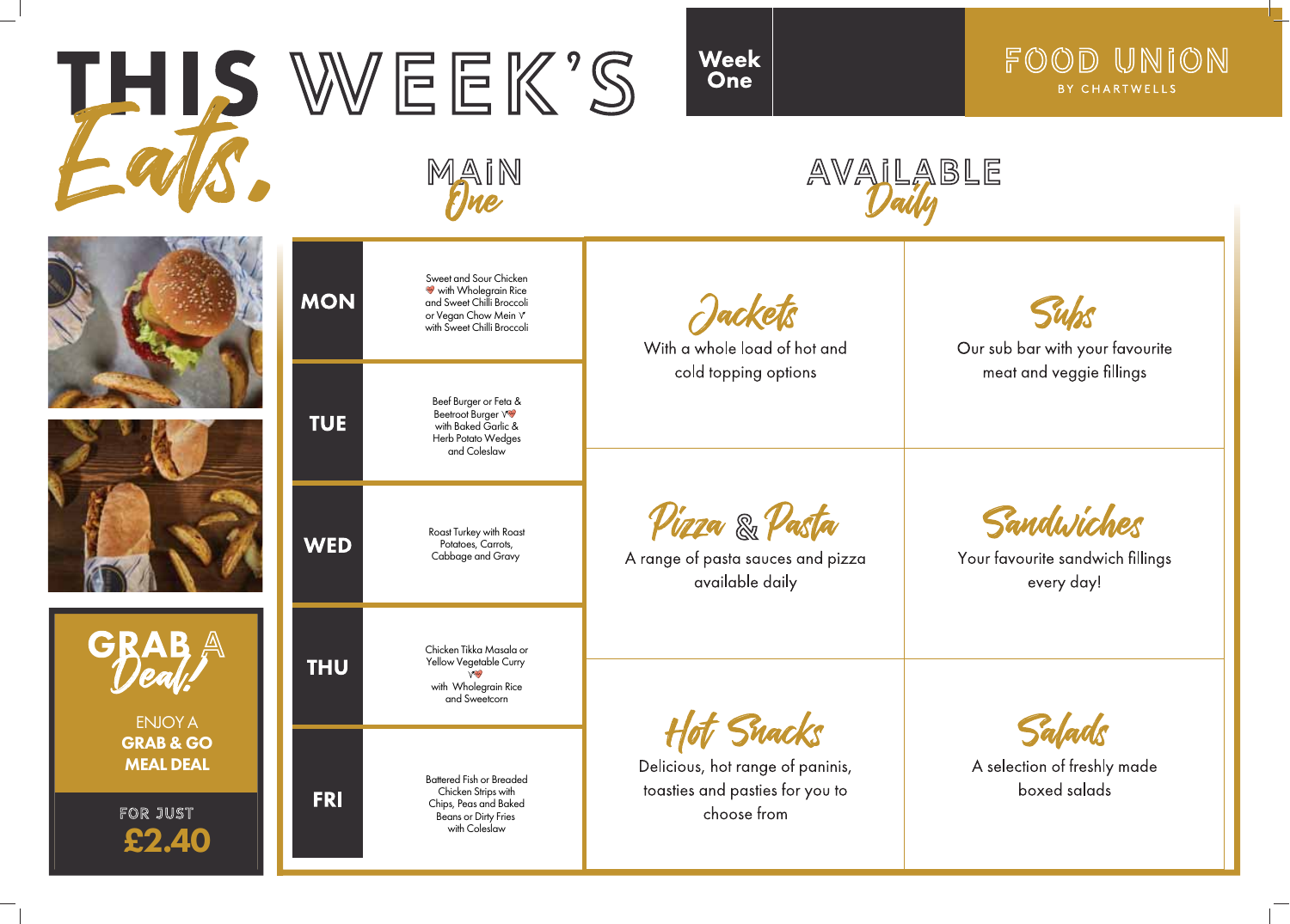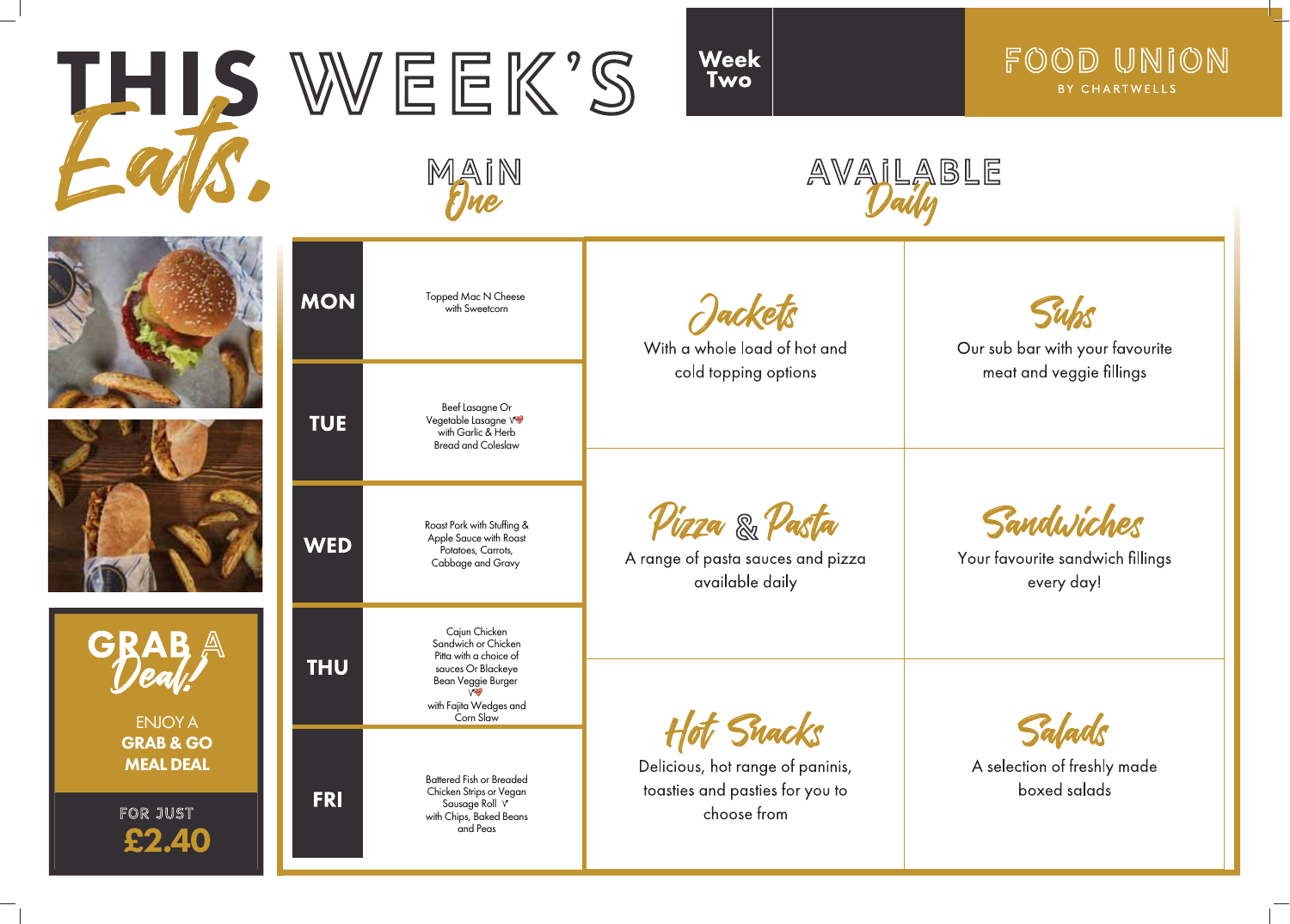